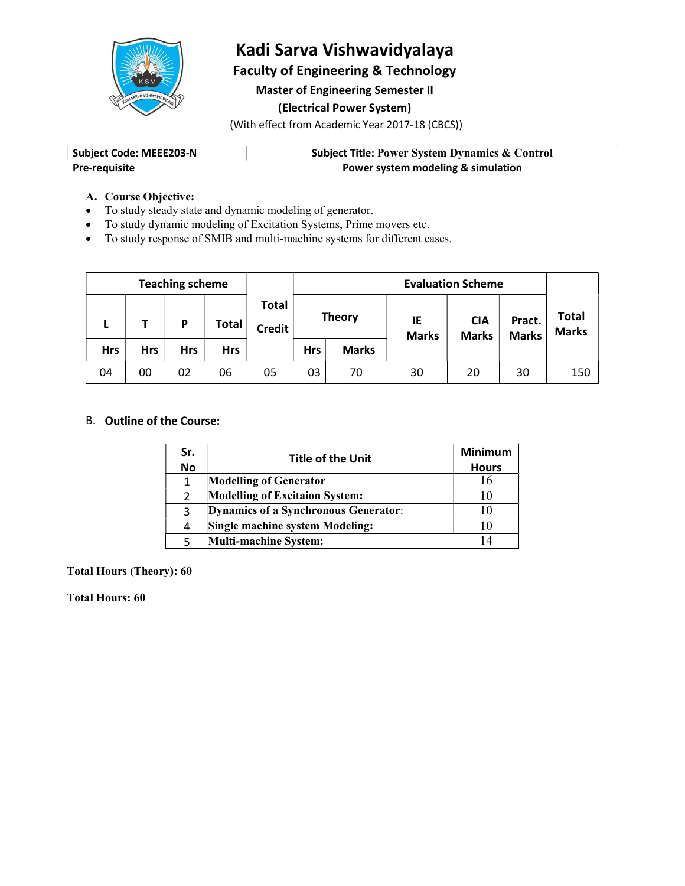

# Kadi Sarva Vishwavidyalaya

Faculty of Engineering & Technology

Master of Engineering Semester II

## (Electrical Power System)

(With effect from Academic Year 2017-18 (CBCS))

| Subject Code: MEEE203-N | <b>Subject Title: Power System Dynamics &amp; Control</b> |
|-------------------------|-----------------------------------------------------------|
| l Pre-reauisite         | Power system modeling & simulation                        |

#### A. Course Objective:

- To study steady state and dynamic modeling of generator.
- To study dynamic modeling of Excitation Systems, Prime movers etc.
- To study response of SMIB and multi-machine systems for different cases.

|            |            | <b>Teaching scheme</b> |              |                        | <b>Evaluation Scheme</b> |              |                    |                            |                        |                              |
|------------|------------|------------------------|--------------|------------------------|--------------------------|--------------|--------------------|----------------------------|------------------------|------------------------------|
| ъ.         |            | P                      | <b>Total</b> | Total<br><b>Credit</b> | <b>Theory</b>            |              | IE<br><b>Marks</b> | <b>CIA</b><br><b>Marks</b> | Pract.<br><b>Marks</b> | <b>Total</b><br><b>Marks</b> |
| <b>Hrs</b> | <b>Hrs</b> | <b>Hrs</b>             | <b>Hrs</b>   |                        | <b>Hrs</b>               | <b>Marks</b> |                    |                            |                        |                              |
| 04         | 00         | 02                     | 06           | 05                     | 03                       | 70           | 30                 | 20                         | 30                     | 150                          |

#### B. Outline of the Course:

| Sr.<br><b>No</b> | <b>Title of the Unit</b>                    | <b>Minimum</b><br><b>Hours</b> |
|------------------|---------------------------------------------|--------------------------------|
|                  | <b>Modelling of Generator</b>               | 16                             |
|                  | <b>Modelling of Excitaion System:</b>       | 10                             |
|                  | <b>Dynamics of a Synchronous Generator:</b> | 10                             |
| 4                | <b>Single machine system Modeling:</b>      | 10                             |
|                  | <b>Multi-machine System:</b>                |                                |

Total Hours (Theory): 60

Total Hours: 60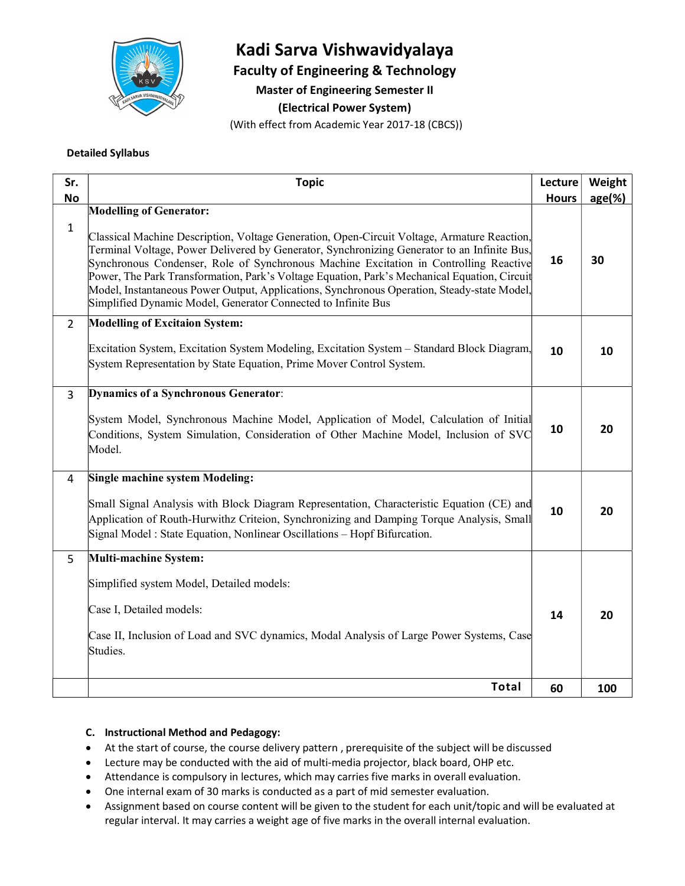

# Kadi Sarva Vishwavidyalaya

Faculty of Engineering & Technology

Master of Engineering Semester II

(Electrical Power System)

(With effect from Academic Year 2017-18 (CBCS))

#### Detailed Syllabus

| <b>Modelling of Generator:</b><br>$\mathbf{1}$<br>Classical Machine Description, Voltage Generation, Open-Circuit Voltage, Armature Reaction,<br>Terminal Voltage, Power Delivered by Generator, Synchronizing Generator to an Infinite Bus,<br>30<br>16<br>Synchronous Condenser, Role of Synchronous Machine Excitation in Controlling Reactive<br>Power, The Park Transformation, Park's Voltage Equation, Park's Mechanical Equation, Circuit<br>Model, Instantaneous Power Output, Applications, Synchronous Operation, Steady-state Model,<br>Simplified Dynamic Model, Generator Connected to Infinite Bus<br><b>Modelling of Excitaion System:</b><br>$2^{\circ}$<br>Excitation System, Excitation System Modeling, Excitation System - Standard Block Diagram,<br>10<br>10<br>System Representation by State Equation, Prime Mover Control System.<br><b>Dynamics of a Synchronous Generator:</b><br>$\overline{3}$<br>System Model, Synchronous Machine Model, Application of Model, Calculation of Initial<br>10<br>20<br>Conditions, System Simulation, Consideration of Other Machine Model, Inclusion of SVC<br>Model.<br><b>Single machine system Modeling:</b><br>4<br>Small Signal Analysis with Block Diagram Representation, Characteristic Equation (CE) and<br>10<br>20<br>Application of Routh-Hurwithz Criteion, Synchronizing and Damping Torque Analysis, Small<br>Signal Model: State Equation, Nonlinear Oscillations - Hopf Bifurcation.<br><b>Multi-machine System:</b><br>5 | Sr.       | <b>Topic</b>                              | Lecture      | Weight    |  |
|-----------------------------------------------------------------------------------------------------------------------------------------------------------------------------------------------------------------------------------------------------------------------------------------------------------------------------------------------------------------------------------------------------------------------------------------------------------------------------------------------------------------------------------------------------------------------------------------------------------------------------------------------------------------------------------------------------------------------------------------------------------------------------------------------------------------------------------------------------------------------------------------------------------------------------------------------------------------------------------------------------------------------------------------------------------------------------------------------------------------------------------------------------------------------------------------------------------------------------------------------------------------------------------------------------------------------------------------------------------------------------------------------------------------------------------------------------------------------------------------------------------|-----------|-------------------------------------------|--------------|-----------|--|
|                                                                                                                                                                                                                                                                                                                                                                                                                                                                                                                                                                                                                                                                                                                                                                                                                                                                                                                                                                                                                                                                                                                                                                                                                                                                                                                                                                                                                                                                                                           | <b>No</b> |                                           | <b>Hours</b> | $age(\%)$ |  |
|                                                                                                                                                                                                                                                                                                                                                                                                                                                                                                                                                                                                                                                                                                                                                                                                                                                                                                                                                                                                                                                                                                                                                                                                                                                                                                                                                                                                                                                                                                           |           |                                           |              |           |  |
|                                                                                                                                                                                                                                                                                                                                                                                                                                                                                                                                                                                                                                                                                                                                                                                                                                                                                                                                                                                                                                                                                                                                                                                                                                                                                                                                                                                                                                                                                                           |           |                                           |              |           |  |
|                                                                                                                                                                                                                                                                                                                                                                                                                                                                                                                                                                                                                                                                                                                                                                                                                                                                                                                                                                                                                                                                                                                                                                                                                                                                                                                                                                                                                                                                                                           |           |                                           |              |           |  |
|                                                                                                                                                                                                                                                                                                                                                                                                                                                                                                                                                                                                                                                                                                                                                                                                                                                                                                                                                                                                                                                                                                                                                                                                                                                                                                                                                                                                                                                                                                           |           |                                           |              |           |  |
|                                                                                                                                                                                                                                                                                                                                                                                                                                                                                                                                                                                                                                                                                                                                                                                                                                                                                                                                                                                                                                                                                                                                                                                                                                                                                                                                                                                                                                                                                                           |           |                                           |              |           |  |
|                                                                                                                                                                                                                                                                                                                                                                                                                                                                                                                                                                                                                                                                                                                                                                                                                                                                                                                                                                                                                                                                                                                                                                                                                                                                                                                                                                                                                                                                                                           |           | Simplified system Model, Detailed models: |              |           |  |
| Case I, Detailed models:<br>14<br>20                                                                                                                                                                                                                                                                                                                                                                                                                                                                                                                                                                                                                                                                                                                                                                                                                                                                                                                                                                                                                                                                                                                                                                                                                                                                                                                                                                                                                                                                      |           |                                           |              |           |  |
| Case II, Inclusion of Load and SVC dynamics, Modal Analysis of Large Power Systems, Case<br>Studies.                                                                                                                                                                                                                                                                                                                                                                                                                                                                                                                                                                                                                                                                                                                                                                                                                                                                                                                                                                                                                                                                                                                                                                                                                                                                                                                                                                                                      |           |                                           |              |           |  |
| <b>Total</b><br>60<br>100                                                                                                                                                                                                                                                                                                                                                                                                                                                                                                                                                                                                                                                                                                                                                                                                                                                                                                                                                                                                                                                                                                                                                                                                                                                                                                                                                                                                                                                                                 |           |                                           |              |           |  |

#### C. Instructional Method and Pedagogy:

- At the start of course, the course delivery pattern , prerequisite of the subject will be discussed
- Lecture may be conducted with the aid of multi-media projector, black board, OHP etc.
- Attendance is compulsory in lectures, which may carries five marks in overall evaluation.
- One internal exam of 30 marks is conducted as a part of mid semester evaluation.
- Assignment based on course content will be given to the student for each unit/topic and will be evaluated at regular interval. It may carries a weight age of five marks in the overall internal evaluation.